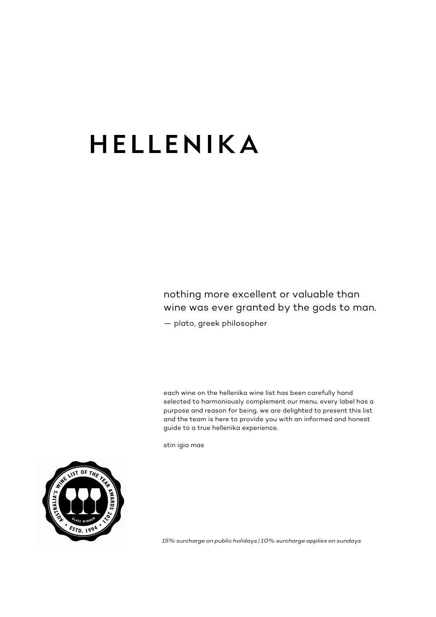# HELLENIKA

## nothing more excellent or valuable than wine was ever granted by the gods to man.

— plato, greek philosopher

each wine on the hellenika wine list has been carefully hand selected to harmoniously complement our menu. every label has a purpose and reason for being. we are delighted to present this list and the team is here to provide you with an informed and honest guide to a true hellenika experience.

stin igia mas



*15% surcharge on public holidays | 10% surcharge applies on sundays*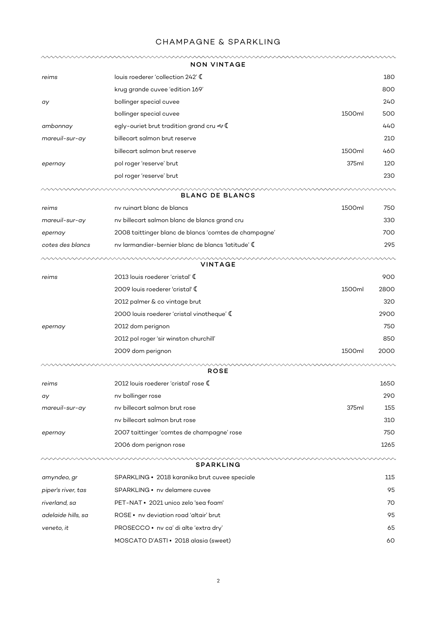## CHAMPAGNE & SPARKLING

|                    | NON VINTAGE                                           |        |      |
|--------------------|-------------------------------------------------------|--------|------|
| reims              | louis roederer 'collection 242' (                     |        | 180  |
|                    | krug grande cuvee 'edition 169'                       |        | 800  |
| ay                 | bollinger special cuvee                               |        | 240  |
|                    | bollinger special cuvee                               | 1500ml | 500  |
| ambonnay           | egly-ouriet brut tradition grand cru $\ll 1$          |        | 440  |
| mareuil-sur-ay     | billecart salmon brut reserve                         |        | 210  |
|                    | billecart salmon brut reserve                         | 1500ml | 460  |
| epernay            | pol roger 'reserve' brut                              | 375ml  | 120  |
|                    | pol roger 'reserve' brut                              |        | 230  |
|                    | <b>BLANC DE BLANCS</b>                                |        |      |
| reims              | ny ruinart blanc de blancs                            | 1500ml | 750  |
| mareuil-sur-ay     | nv billecart salmon blanc de blancs grand cru         |        | 330  |
| epernay            | 2008 taittinger blanc de blancs 'comtes de champagne' |        | 700  |
| cotes des blancs   | nv larmandier-bernier blanc de blancs 'latitude' (    |        | 295  |
|                    | VINTAGE                                               |        |      |
| reims              | 2013 louis roederer 'cristal' (                       |        | 900  |
|                    | 2009 louis roederer 'cristal' (                       | 1500ml | 2800 |
|                    | 2012 palmer & co vintage brut                         |        | 320  |
|                    | 2000 louis roederer 'cristal vinotheque' (            |        | 2900 |
| epernay            | 2012 dom perignon                                     |        | 750  |
|                    | 2012 pol roger 'sir winston churchill'                |        | 850  |
|                    | 2009 dom perignon                                     | 1500ml | 2000 |
|                    | <b>ROSE</b>                                           |        |      |
| reıms              | 2012 louis roederer 'cristal' rose (                  |        | 1650 |
| ay                 | nv bollinger rose                                     |        | 290  |
| mareuil-sur-ay     | nv billecart salmon brut rose                         | 375ml  | 155  |
|                    | nv billecart salmon brut rose                         |        | 310  |
| epernay            | 2007 taittinger 'comtes de champagne' rose            |        | 750  |
|                    | 2006 dom perignon rose                                |        | 1265 |
|                    | ヘヘヘヘヘヘ<br><b>SPARKLING</b>                            |        |      |
| amyndeo, gr        | SPARKLING • 2018 karanika brut cuvee speciale         |        | 115  |
| piper's river, tas | SPARKLING • nv delamere cuvee                         |        | 95   |
| riverland, sa      | PET-NAT • 2021 unico zelo 'sea foam'                  |        | 70   |
| adelaide hills, sa | ROSE • nv deviation road 'altair' brut                |        | 95   |
| veneto, it         | PROSECCO • nv ca' di alte 'extra dry'                 |        | 65   |
|                    | MOSCATO D'ASTI · 2018 alasia (sweet)                  |        | 60   |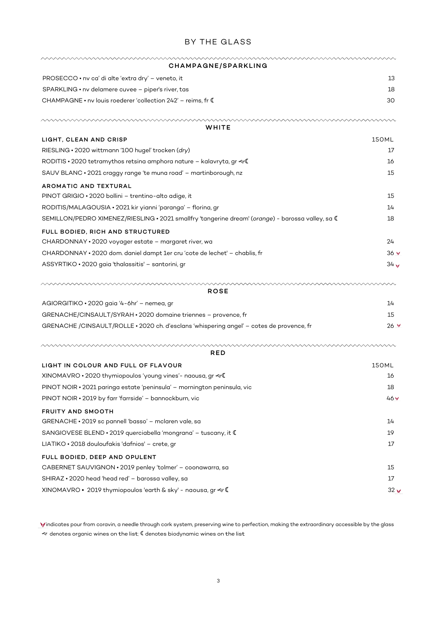#### BY THE GLASS

| CHAMPAGNE/SPARKLING                                                                               |                 |
|---------------------------------------------------------------------------------------------------|-----------------|
| PROSECCO • nv ca' di alte 'extra dry' - veneto, it                                                | 13              |
| SPARKLING • nv delamere cuvee - piper's river, tas                                                | 18              |
| CHAMPAGNE • nv louis roederer 'collection 242' - reims, fr C                                      | 30              |
| WHITE                                                                                             |                 |
| LIGHT, CLEAN AND CRISP                                                                            | 150ML           |
| RIESLING · 2020 wittmann '100 hugel' trocken (dry)                                                | 17              |
| RODITIS • 2020 tetramythos retsina amphora nature - kalavryta, gr $\ll 1$                         | 16              |
| SAUV BLANC • 2021 craggy range 'te muna road' – martinborough, nz                                 | 15              |
| <b>AROMATIC AND TEXTURAL</b>                                                                      |                 |
| PINOT GRIGIO . 2020 bollini - trentino-alto adige, it                                             | 15              |
| RODITIS/MALAGOUSIA • 2021 kir yianni 'paranga' - florina, gr                                      | 14              |
| SEMILLON/PEDRO XIMENEZ/RIESLING · 2021 smallfry 'tangerine dream' (orange) - barossa valley, sa ( | 18              |
| FULL BODIED, RICH AND STRUCTURED                                                                  |                 |
| CHARDONNAY • 2020 voyager estate – margaret river, wa                                             | 24              |
| CHARDONNAY · 2020 dom. daniel dampt 1er cru 'cote de lechet' - chablis, fr                        | 36V             |
| ASSYRTIKO • 2020 gaia 'thalassitis' - santorini, gr                                               | 34 <sub>V</sub> |
| <b>ROSE</b>                                                                                       |                 |
| AGIORGITIKO • 2020 gaia '4-6hr' – nemea, gr                                                       | 14              |
| GRENACHE/CINSAULT/SYRAH • 2020 domaine triennes - provence, fr                                    | 15              |
| GRENACHE / CINSAULT/ROLLE • 2020 ch. d'esclans 'whispering angel' – cotes de provence, fr         | 26V             |
|                                                                                                   |                 |

| <b>RED</b>                                                               |                 |  |
|--------------------------------------------------------------------------|-----------------|--|
| LIGHT IN COLOUR AND FULL OF FLAVOUR                                      | <b>150ML</b>    |  |
| XINOMAVRO • 2020 thymiopoulos 'young vines'- naousa, gr $\ll 0$          | 16              |  |
| PINOT NOIR • 2021 paringa estate 'peninsula' – mornington peninsula, vic | 18              |  |
| PINOT NOIR • 2019 by farr 'farrside' – bannockburn, vic                  | 46 V            |  |
| <b>FRUITY AND SMOOTH</b>                                                 |                 |  |
| GRENACHE • 2019 sc pannell 'basso' – mclaren vale, sa                    | 14              |  |
| SANGIOVESE BLEND . 2019 querciabella 'mongrana' - tuscany, it C          | 19              |  |
| LIATIKO · 2018 douloufakis 'dafnios' - crete, gr                         | 17              |  |
| FULL BODIED, DEEP AND OPULENT                                            |                 |  |
| CABERNET SAUVIGNON • 2019 penley 'tolmer' - coonawarra, sa               | 15              |  |
| SHIRAZ · 2020 head 'head red' - barossa valley, sa                       | 17              |  |
| XINOMAVRO • 2019 thymiopoulos 'earth & sky' - naousa, gr $\ll$ (         | 32 <sub>V</sub> |  |

 indicates pour from coravin, a needle through cork system, preserving wine to perfection, making the extraordinary accessible by the glass g denotes organic wines on the list; « denotes biodynamic wines on the list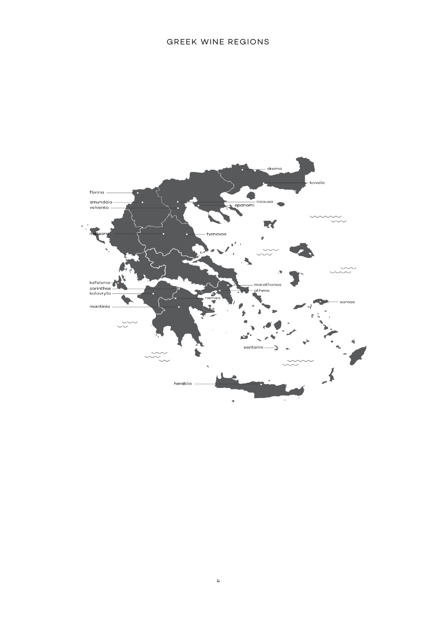#### GREEK WINE REGIONS

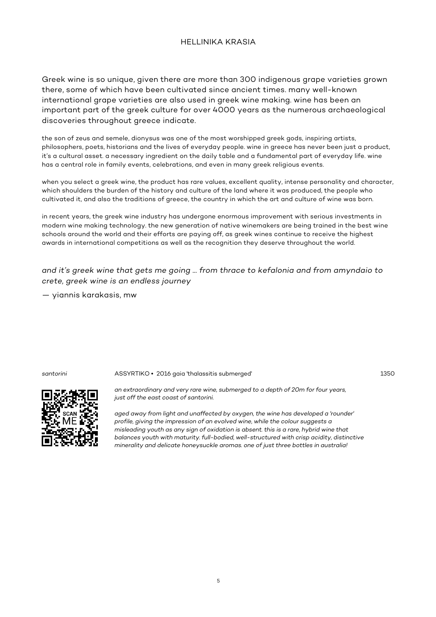#### HELLINIKA KRASIA

Greek wine is so unique, given there are more than 300 indigenous grape varieties grown there, some of which have been cultivated since ancient times. many well-known international grape varieties are also used in greek wine making. wine has been an important part of the greek culture for over 4000 years as the numerous archaeological discoveries throughout greece indicate.

the son of zeus and semele, dionysus was one of the most worshipped greek gods, inspiring artists, philosophers, poets, historians and the lives of everyday people. wine in greece has never been just a product, it's a cultural asset. a necessary ingredient on the daily table and a fundamental part of everyday life. wine has a central role in family events, celebrations, and even in many greek religious events.

when you select a greek wine, the product has rare values, excellent quality, intense personality and character, which shoulders the burden of the history and culture of the land where it was produced, the people who cultivated it, and also the traditions of greece, the country in which the art and culture of wine was born.

in recent years, the greek wine industry has undergone enormous improvement with serious investments in modern wine making technology. the new generation of native winemakers are being trained in the best wine schools around the world and their efforts are paying off, as greek wines continue to receive the highest awards in international competitions as well as the recognition they deserve throughout the world.

#### *and it's greek wine that gets me going ... from thrace to kefalonia and from amyndaio to crete, greek wine is an endless journey*

— yiannis karakasis, mw

#### santorini **ASSYRTIKO • 2016 gaia 'thalassitis submerged'** 1350



*an extraordinary and very rare wine, submerged to a depth of 20m for four years, just off the east coast of santorini.*

*aged away from light and unaffected by oxygen, the wine has developed a 'rounder' profile, giving the impression of an evolved wine, while the colour suggests a misleading youth as any sign of oxidation is absent. this is a rare, hybrid wine that balances youth with maturity. full-bodied, well-structured with crisp acidity, distinctive minerality and delicate honeysuckle aromas. one of just three bottles in australia!*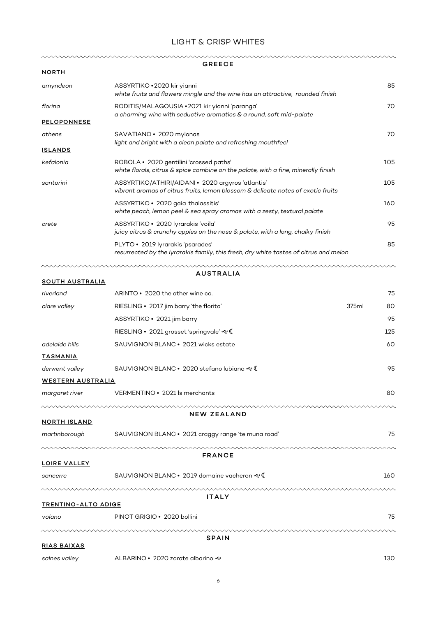#### LIGHT & CRISP WHITES

| <b>NORTH</b>                         | <b>GREECE</b>                                                                                                                         |             |
|--------------------------------------|---------------------------------------------------------------------------------------------------------------------------------------|-------------|
| amyndeon                             | ASSYRTIKO . 2020 kir yianni<br>white fruits and flowers mingle and the wine has an attractive, rounded finish                         | 85          |
| florina                              | RODITIS/MALAGOUSIA . 2021 kir yianni 'paranga'<br>a charming wine with seductive aromatics & a round, soft mid-palate                 | 70          |
| <b>PELOPONNESE</b>                   |                                                                                                                                       |             |
| athens                               | SAVATIANO • 2020 mylonas                                                                                                              | 70          |
| <b>ISLANDS</b>                       | light and bright with a clean palate and refreshing mouthfeel                                                                         |             |
| kefalonia                            | ROBOLA • 2020 gentilini 'crossed paths'<br>white florals, citrus & spice combine on the palate, with a fine, minerally finish         | 105         |
| santorini                            | ASSYRTIKO/ATHIRI/AIDANI · 2020 argyros 'atlantis'<br>vibrant aromas of citrus fruits, lemon blossom & delicate notes of exotic fruits | 105         |
|                                      | ASSYRTIKO • 2020 gaia 'thalassitis'<br>white peach, lemon peel & sea spray aromas with a zesty, textural palate                       | 160         |
| crete                                | ASSYRTIKO • 2020 lyrarakis 'voila'<br>juicy citrus & crunchy apples on the nose & palate, with a long, chalky finish                  | 95          |
|                                      | PLYTO • 2019 lyrarakis 'psarades'<br>resurrected by the lyrarakis family, this fresh, dry white tastes of citrus and melon            | 85          |
|                                      |                                                                                                                                       |             |
| <b>SOUTH AUSTRALIA</b>               | <b>AUSTRALIA</b>                                                                                                                      |             |
| riverland                            | ARINTO • 2020 the other wine co.                                                                                                      | 75          |
| clare valley                         | RIESLING • 2017 jim barry 'the florita'                                                                                               | 375ml<br>80 |
|                                      | ASSYRTIKO • 2021 jim barry                                                                                                            | 95          |
|                                      | RIESLING • 2021 grosset 'springvale' & C                                                                                              | 125         |
| adelaide hills                       | SAUVIGNON BLANC • 2021 wicks estate                                                                                                   | 60          |
| TASMANIA                             |                                                                                                                                       |             |
| derwent valley                       | SAUVIGNON BLANC · 2020 stefano lubiana < ↓                                                                                            | 95          |
| <b>WESTERN AUSTRALIA</b>             |                                                                                                                                       |             |
| margaret river                       | VERMENTINO • 2021 Is merchants                                                                                                        | 80          |
| <b>NORTH ISLAND</b>                  | NEW ZEALAND                                                                                                                           |             |
| martinborough                        | SAUVIGNON BLANC • 2021 craggy range 'te muna road'                                                                                    | 75          |
|                                      | <b>FRANCE</b>                                                                                                                         |             |
| LOIRE VALLEY                         |                                                                                                                                       |             |
| sancerre                             | SAUVIGNON BLANC • 2019 domaine vacheron <2 €                                                                                          | 160         |
|                                      | <b>ITALY</b>                                                                                                                          |             |
| <b>TRENTINO-ALTO ADIGE</b><br>volano | PINOT GRIGIO • 2020 bollini                                                                                                           | 75          |
|                                      |                                                                                                                                       |             |
| <b>RIAS BAIXAS</b>                   | <b>SPAIN</b>                                                                                                                          |             |
| salnes valley                        | ALBARINO • 2020 zarate albarino <                                                                                                     | 130         |
|                                      |                                                                                                                                       |             |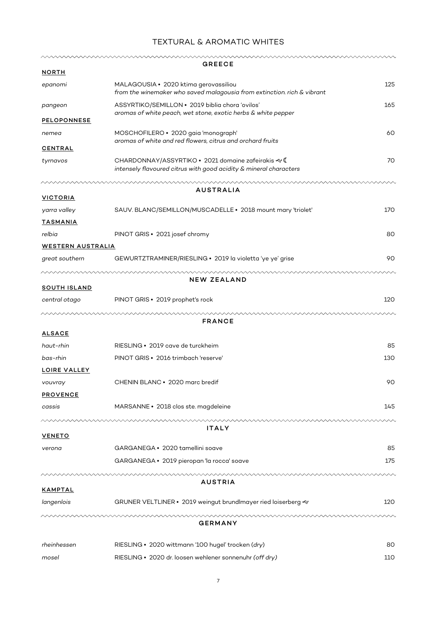### TEXTURAL & AROMATIC WHITES

|                          | <b>GREECE</b>                                                                                                           |     |
|--------------------------|-------------------------------------------------------------------------------------------------------------------------|-----|
| <b>NORTH</b>             |                                                                                                                         |     |
| epanomi                  | MALAGOUSIA · 2020 ktima gerovassiliou<br>from the winemaker who saved malagousia from extinction. rich & vibrant        | 125 |
| pangeon                  | ASSYRTIKO/SEMILLON • 2019 biblia chora 'ovilos'<br>aromas of white peach, wet stone, exotic herbs & white pepper        | 165 |
| <b>PELOPONNESE</b>       |                                                                                                                         |     |
| nemea                    | MOSCHOFILERO • 2020 gaia 'monograph'<br>aromas of white and red flowers, citrus and orchard fruits                      | 60  |
| <b>CENTRAL</b>           |                                                                                                                         |     |
| tyrnavos                 | CHARDONNAY/ASSYRTIKO · 2021 domaine zafeirakis ~ (<br>intensely flavoured citrus with good acidity & mineral characters | 70  |
|                          | <b>AUSTRALIA</b>                                                                                                        |     |
| <b>VICTORIA</b>          |                                                                                                                         |     |
| yarra valley             | SAUV. BLANC/SEMILLON/MUSCADELLE . 2018 mount mary 'triolet'                                                             | 170 |
| <b>TASMANIA</b>          |                                                                                                                         |     |
| relbia                   | PINOT GRIS · 2021 josef chromy                                                                                          | 80  |
| <b>WESTERN AUSTRALIA</b> |                                                                                                                         |     |
| great southern           | GEWURTZTRAMINER/RIESLING · 2019 la violetta 'ye ye' grise                                                               | 90  |
|                          | <b>NEW ZEALAND</b>                                                                                                      |     |
| <b>SOUTH ISLAND</b>      |                                                                                                                         |     |
| central otago            | PINOT GRIS • 2019 prophet's rock                                                                                        | 120 |
|                          | <b>FRANCE</b>                                                                                                           |     |
| <b>ALSACE</b>            |                                                                                                                         |     |
| haut-rhin                | RIESLING • 2019 cave de turckheim                                                                                       | 85  |
| bas-rhin                 | PINOT GRIS • 2016 trimbach 'reserve'                                                                                    | 130 |
| <b>LOIRE VALLEY</b>      |                                                                                                                         |     |
| vouvray                  | CHENIN BLANC • 2020 marc bredif                                                                                         | 90  |
| <b>PROVENCE</b>          |                                                                                                                         |     |
| cassis                   | MARSANNE · 2018 clos ste. magdeleine                                                                                    | 145 |
|                          | ITALY                                                                                                                   |     |
| <b>VENETO</b>            |                                                                                                                         |     |
| verona                   | GARGANEGA • 2020 tamellini soave                                                                                        | 85  |
|                          | GARGANEGA · 2019 pieropan 'la rocca' soave                                                                              | 175 |
|                          | AUSTRIA                                                                                                                 |     |
| <b>KAMPTAL</b>           |                                                                                                                         |     |
| langenlois               | GRUNER VELTLINER • 2019 weingut brundlmayer ried loiserberg &                                                           | 120 |
|                          | GERMANY                                                                                                                 |     |
| rheinhessen              | RIESLING · 2020 wittmann '100 hugel' trocken (dry)                                                                      | 80  |
| mosel                    | RIESLING • 2020 dr. loosen wehlener sonnenuhr (off dry)                                                                 | 110 |
|                          |                                                                                                                         |     |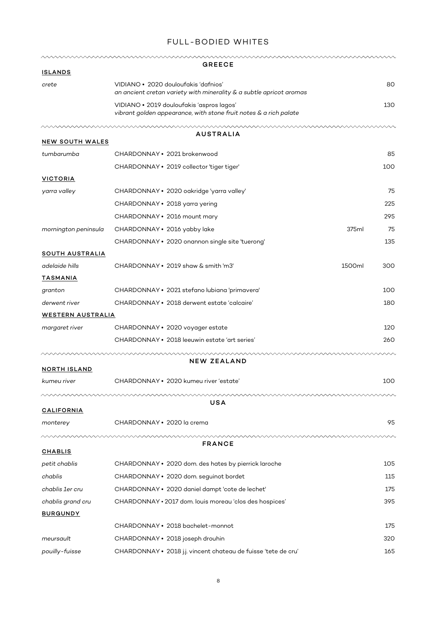## FULL-BODIED WHITES

| <b>ISLANDS</b>             | <b>GREECE</b>                                                                                                  |        |     |
|----------------------------|----------------------------------------------------------------------------------------------------------------|--------|-----|
| crete                      | VIDIANO • 2020 douloufakis 'dafnios'<br>an ancient cretan variety with minerality & a subtle apricot aromas    |        | 80  |
|                            | VIDIANO · 2019 douloufakis 'aspros lagos'<br>vibrant golden appearance, with stone fruit notes & a rich palate |        | 130 |
|                            | <b>AUSTRALIA</b>                                                                                               |        |     |
| <b>NEW SOUTH WALES</b>     |                                                                                                                |        |     |
| tumbarumba                 | CHARDONNAY • 2021 brokenwood                                                                                   |        | 85  |
|                            | CHARDONNAY • 2019 collector 'tiger tiger'                                                                      |        | 100 |
| <b>VICTORIA</b>            |                                                                                                                |        |     |
| yarra valley               | CHARDONNAY • 2020 oakridge 'yarra valley'                                                                      |        | 75  |
|                            | CHARDONNAY • 2018 yarra yering                                                                                 |        | 225 |
|                            | CHARDONNAY • 2016 mount mary                                                                                   |        | 295 |
| mornington peninsula       | CHARDONNAY • 2016 yabby lake                                                                                   | 375ml  | 75  |
|                            | CHARDONNAY • 2020 onannon single site 'tuerong'                                                                |        | 135 |
| <b>SOUTH AUSTRALIA</b>     | CHARDONNAY • 2019 shaw & smith 'm3'                                                                            |        |     |
| adelaide hills<br>TASMANIA |                                                                                                                | 1500ml | 300 |
| granton                    | CHARDONNAY • 2021 stefano lubiana 'primavera'                                                                  |        | 100 |
| derwent river              | CHARDONNAY • 2018 derwent estate 'calcaire'                                                                    |        | 180 |
| <b>WESTERN AUSTRALIA</b>   |                                                                                                                |        |     |
| margaret river             | CHARDONNAY • 2020 voyager estate                                                                               |        | 120 |
|                            | CHARDONNAY • 2018 leeuwin estate 'art series'                                                                  |        | 260 |
|                            | <b>NEW ZEALAND</b>                                                                                             |        |     |
| <b>NORTH ISLAND</b>        |                                                                                                                |        |     |
| kumeu river                | CHARDONNAY · 2020 kumeu river 'estate'                                                                         |        | 100 |
|                            | USA                                                                                                            |        |     |
| <b>CALIFORNIA</b>          |                                                                                                                |        |     |
| monterey                   | CHARDONNAY • 2020 la crema                                                                                     |        | 95  |
|                            | <b>FRANCE</b>                                                                                                  |        |     |
| <b>CHABLIS</b>             |                                                                                                                |        |     |
| petit chablis              | CHARDONNAY • 2020 dom. des hates by pierrick laroche                                                           |        | 105 |
| chablis                    | CHARDONNAY • 2020 dom. seguinot bordet                                                                         |        | 115 |
| chablis 1er cru            | CHARDONNAY · 2020 daniel dampt 'cote de lechet'                                                                |        | 175 |
| chablis grand cru          | CHARDONNAY • 2017 dom. louis moreau 'clos des hospices'                                                        |        | 395 |
| <b>BURGUNDY</b>            |                                                                                                                |        |     |
|                            | CHARDONNAY • 2018 bachelet-monnot                                                                              |        | 175 |
| meursault                  | CHARDONNAY • 2018 joseph drouhin                                                                               |        | 320 |
| pouilly-fuisse             | CHARDONNAY · 2018 j.j. vincent chateau de fuisse 'tete de cru'                                                 |        | 165 |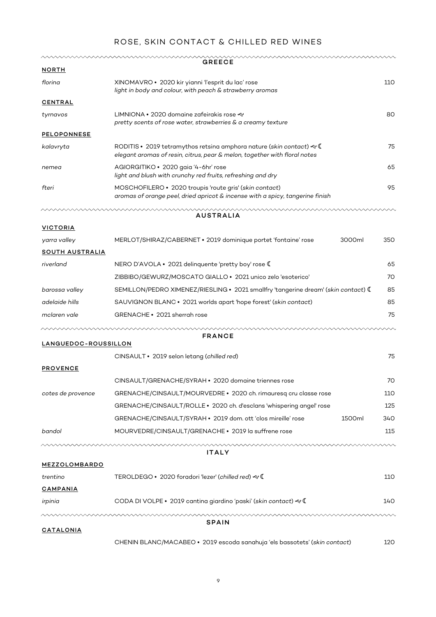## ROSE, SKIN CONTACT & CHILLED RED WINES

| NORTH                       | GREECE                                                                                                                                                |     |
|-----------------------------|-------------------------------------------------------------------------------------------------------------------------------------------------------|-----|
| florina                     | XINOMAVRO · 2020 kir yianni 'l'esprit du lac' rose<br>light in body and colour, with peach & strawberry aromas                                        | 110 |
| <b>CENTRAL</b>              |                                                                                                                                                       |     |
| tyrnavos                    | LIMNIONA • 2020 domaine zafeirakis rose «<br>pretty scents of rose water, strawberries & a creamy texture                                             | 80  |
| <b>PELOPONNESE</b>          |                                                                                                                                                       |     |
| kalavryta                   | RODITIS • 2019 tetramythos retsina amphora nature (skin contact) $\ll 1$<br>elegant aromas of resin, citrus, pear & melon, together with floral notes | 75  |
| nemea                       | AGIORGITIKO • 2020 gaia '4-6hr' rose<br>light and blush with crunchy red fruits, refreshing and dry                                                   | 65  |
| fteri                       | MOSCHOFILERO • 2020 troupis 'route gris' (skin contact)<br>aromas of orange peel, dried apricot & incense with a spicy, tangerine finish              | 95  |
|                             | <b>AUSTRALIA</b>                                                                                                                                      |     |
| VICTORIA                    |                                                                                                                                                       |     |
| yarra valley                | 3000ml<br>MERLOT/SHIRAZ/CABERNET • 2019 dominique portet 'fontaine' rose                                                                              | 350 |
| <b>SOUTH AUSTRALIA</b>      |                                                                                                                                                       |     |
| riverland                   | NERO D'AVOLA • 2021 delinquente 'pretty boy' rose (                                                                                                   | 65  |
|                             | ZIBBIBO/GEWURZ/MOSCATO GIALLO · 2021 unico zelo 'esoterico'                                                                                           | 70  |
| barossa valley              | SEMILLON/PEDRO XIMENEZ/RIESLING • 2021 smallfry 'tangerine dream' (skin contact) (                                                                    | 85  |
| adelaide hills              | SAUVIGNON BLANC • 2021 worlds apart 'hope forest' (skin contact)                                                                                      | 85  |
| mclaren vale                | GRENACHE • 2021 sherrah rose                                                                                                                          | 75  |
|                             | <b>FRANCE</b>                                                                                                                                         |     |
| <b>LANGUEDOC-ROUSSILLON</b> |                                                                                                                                                       |     |
| <b>PROVENCE</b>             | CINSAULT • 2019 selon letang (chilled red)                                                                                                            | 75  |
|                             | CINSAULT/GRENACHE/SYRAH · 2020 domaine triennes rose                                                                                                  | 70  |
| cotes de provence           | GRENACHE/CINSAULT/MOURVEDRE • 2020 ch. rimauresq cru classe rose                                                                                      | 110 |
|                             | GRENACHE/CINSAULT/ROLLE • 2020 ch. d'esclans 'whispering angel' rose                                                                                  | 125 |
|                             | GRENACHE/CINSAULT/SYRAH · 2019 dom. ott 'clos mireille' rose<br>1500ml                                                                                | 340 |
| bandol                      | MOURVEDRE/CINSAULT/GRENACHE • 2019 la suffrene rose                                                                                                   | 115 |
|                             |                                                                                                                                                       |     |
|                             | ITALY                                                                                                                                                 |     |
| MEZZOLOMBARDO               |                                                                                                                                                       |     |
| trentino                    | TEROLDEGO • 2020 foradori 'lezer' (chilled red) & C                                                                                                   | 110 |
| <u>CAMPANIA</u>             |                                                                                                                                                       |     |
| irpinia                     | CODA DI VOLPE • 2019 cantina giardino 'paski' (skin contact) & C                                                                                      | 140 |
| <u>CATALONIA</u>            | <u>MMMMMMMMMM</u><br>SPAIN                                                                                                                            |     |
|                             |                                                                                                                                                       |     |

CHENIN BLANC/MACABEO · 2019 escoda sanahuja 'els bassotets' (skin contact) 120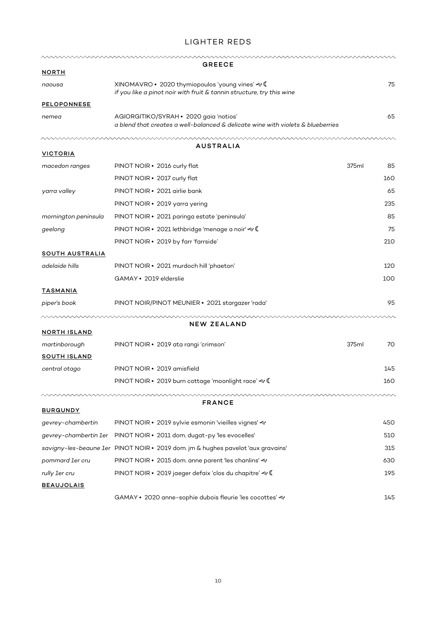#### LIGHTER REDS

| <b>NORTH</b>           | <b>GREECE</b>                                                                                                             |       |     |
|------------------------|---------------------------------------------------------------------------------------------------------------------------|-------|-----|
| naousa                 | XINOMAVRO • 2020 thymiopoulos 'young vines' & C<br>if you like a pinot noir with fruit & tannin structure, try this wine  |       | 75  |
| <b>PELOPONNESE</b>     |                                                                                                                           |       |     |
| nemea                  | AGIORGITIKO/SYRAH · 2020 gaia 'notios'<br>a blend that creates a well-balanced & delicate wine with violets & blueberries |       | 65  |
|                        | <b>AUSTRALIA</b>                                                                                                          |       |     |
| <b>VICTORIA</b>        |                                                                                                                           |       |     |
| macedon ranges         | PINOT NOIR • 2016 curly flat                                                                                              | 375ml | 85  |
|                        | PINOT NOIR • 2017 curly flat                                                                                              |       | 160 |
| yarra valley           | PINOT NOIR • 2021 airlie bank                                                                                             |       | 65  |
|                        | PINOT NOIR • 2019 yarra yering                                                                                            |       | 235 |
| mornington peninsula   | PINOT NOIR • 2021 paringa estate 'peninsula'                                                                              |       | 85  |
| geelong                | PINOT NOIR · 2021 lethbridge 'menage a noir' & I                                                                          |       | 75  |
|                        | PINOT NOIR • 2019 by farr 'farrside'                                                                                      |       | 210 |
| <b>SOUTH AUSTRALIA</b> |                                                                                                                           |       |     |
| adelaide hills         | PINOT NOIR • 2021 murdoch hill 'phaeton'                                                                                  |       | 120 |
|                        | GAMAY • 2019 elderslie                                                                                                    |       | 100 |
| TASMANIA               |                                                                                                                           |       |     |
| piper's book           | PINOT NOIR/PINOT MEUNIER · 2021 stargazer 'rada'                                                                          |       | 95  |
| <b>NORTH ISLAND</b>    | <b>NEW ZEALAND</b>                                                                                                        |       |     |
| martinborough          | PINOT NOIR • 2019 ata rangi 'crimson'                                                                                     | 375ml | 70  |
| <b>SOUTH ISLAND</b>    |                                                                                                                           |       |     |
| central otago          | PINOT NOIR • 2019 amisfield                                                                                               |       | 145 |
|                        | PINOT NOIR . 2019 burn cottage 'moonlight race' & C                                                                       |       | 160 |
|                        |                                                                                                                           |       |     |
| <b>BURGUNDY</b>        | <b>FRANCE</b>                                                                                                             |       |     |
| gevrey-chambertin      | PINOT NOIR • 2019 sylvie esmonin 'vieilles vignes' &                                                                      |       | 450 |
| gevrey-chambertin 1er  | PINOT NOIR . 2011 dom. dugat-py 'les evocelles'                                                                           |       | 510 |
|                        |                                                                                                                           |       | 315 |
|                        | savigny-les-beaune 1er PINOT NOIR · 2019 dom. jm & hughes pavelot 'aux gravains'                                          |       |     |
| pommard 1er cru        | PINOT NOIR • 2015 dom. anne parent 'les chanlins' &                                                                       |       | 630 |
| rully 1er cru          | PINOT NOIR • 2019 jaeger defaix 'clos du chapitre' < €                                                                    |       | 195 |
| <b>BEAUJOLAIS</b>      |                                                                                                                           |       |     |
|                        | GAMAY • 2020 anne-sophie dubois fleurie 'les cocottes' &                                                                  |       | 145 |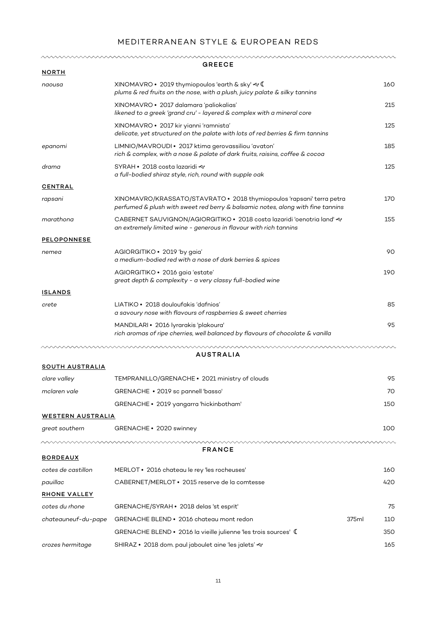## MEDITERRANEAN STYLE & EUROPEAN REDS

| <b>NORTH</b>             | <b>GREECE</b>                                                                                                                                            |              |
|--------------------------|----------------------------------------------------------------------------------------------------------------------------------------------------------|--------------|
| naousa                   | XINOMAVRO • 2019 thymiopoulos 'earth & sky' & I<br>plums & red fruits on the nose, with a plush, juicy palate & silky tannins                            | 160          |
|                          | XINOMAVRO · 2017 dalamara 'paliokalias'<br>likened to a greek 'grand cru' - layered & complex with a mineral core                                        | 215          |
|                          | XINOMAVRO · 2017 kir yianni 'ramnista'<br>delicate, yet structured on the palate with lots of red berries & firm tannins                                 | 125          |
| epanomi                  | LIMNIO/MAVROUDI · 2017 ktima gerovassiliou 'avaton'<br>rich & complex, with a nose & palate of dark fruits, raisins, coffee & cocoa                      | 185          |
| drama                    | SYRAH • 2018 costa lazaridi ≪<br>a full-bodied shiraz style, rich, round with supple oak                                                                 | 125          |
| <u>CENTRAL</u>           |                                                                                                                                                          |              |
| rapsani                  | XINOMAVRO/KRASSATO/STAVRATO · 2018 thymiopoulos 'rapsani' terra petra<br>perfumed & plush with sweet red berry & balsamic notes, along with fine tannins | 170          |
| marathona                | CABERNET SAUVIGNON/AGIORGITIKO • 2018 costa lazaridi 'oenotria land' &<br>an extremely limited wine - generous in flavour with rich tannins              | 155          |
| PELOPONNESE              |                                                                                                                                                          |              |
| nemea                    | AGIORGITIKO • 2019 'by gaia'<br>a medium-bodied red with a nose of dark berries & spices                                                                 | 90           |
|                          | AGIORGITIKO · 2016 gaia 'estate'<br>great depth & complexity - a very classy full-bodied wine                                                            | 190          |
| <b>ISLANDS</b>           |                                                                                                                                                          |              |
| crete                    | LIATIKO • 2018 douloufakis 'dafnios'<br>a savoury nose with flavours of raspberries & sweet cherries                                                     | 85           |
|                          | MANDILARI • 2016 lyrarakis 'plakoura'<br>rich aromas of ripe cherries, well balanced by flavours of chocolate & vanilla                                  | 95           |
|                          | <b>AUSTRALIA</b>                                                                                                                                         |              |
| SOUTH AUSTRALIA          |                                                                                                                                                          |              |
| clare valley             | TEMPRANILLO/GRENACHE • 2021 ministry of clouds                                                                                                           | 95           |
| mclaren vale             | GRENACHE • 2019 sc pannell 'basso'                                                                                                                       | 70           |
|                          | GRENACHE • 2019 yangarra 'hickinbotham'                                                                                                                  | 150          |
| <b>WESTERN AUSTRALIA</b> |                                                                                                                                                          |              |
| great southern           | GRENACHE • 2020 swinney                                                                                                                                  | 100          |
|                          |                                                                                                                                                          |              |
| <b>BORDEAUX</b>          | <b>FRANCE</b>                                                                                                                                            |              |
| cotes de castillon       | MERLOT • 2016 chateau le rey 'les rocheuses'                                                                                                             | 160          |
| pauillac                 | CABERNET/MERLOT • 2015 reserve de la comtesse                                                                                                            | 420          |
| <b>RHONE VALLEY</b>      |                                                                                                                                                          |              |
| cotes du rhone           | GRENACHE/SYRAH • 2018 delas 'st esprit'                                                                                                                  | 75           |
| chateauneuf-du-pape      | GRENACHE BLEND • 2016 chateau mont redon                                                                                                                 | 375ml<br>110 |
|                          | GRENACHE BLEND • 2016 la vieille julienne 'les trois sources' (                                                                                          | 350          |
| crozes hermitage         | SHIRAZ · 2018 dom. paul jaboulet aine 'les jalets' &                                                                                                     | 165          |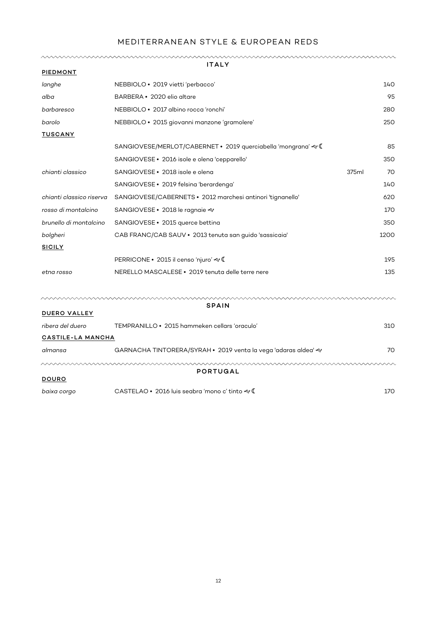## MEDITERRANEAN STYLE & EUROPEAN REDS

|                          | <b>ITALY</b>                                                       |       |      |  |
|--------------------------|--------------------------------------------------------------------|-------|------|--|
| <b>PIEDMONT</b>          |                                                                    |       |      |  |
| langhe                   | NEBBIOLO • 2019 vietti 'perbacco'                                  |       | 140  |  |
| alba                     | BARBERA • 2020 elio altare                                         |       | 95   |  |
| barbaresco               | NEBBIOLO • 2017 albino rocca 'ronchi'                              |       | 280  |  |
| barolo                   | NEBBIOLO • 2015 giovanni manzone 'gramolere'                       |       | 250  |  |
| <b>TUSCANY</b>           |                                                                    |       |      |  |
|                          | SANGIOVESE/MERLOT/CABERNET · 2019 querciabella 'mongrana' <a></a>  |       | 85   |  |
|                          | SANGIOVESE · 2016 isole e olena 'cepparello'                       |       | 350  |  |
| chianti classico         | SANGIOVESE • 2018 isole e oleng                                    | 375ml | 70   |  |
|                          | SANGIOVESE · 2019 felsina 'berardenga'                             |       | 140  |  |
| chianti classico riserva | SANGIOVESE/CABERNETS · 2012 marchesi antinori 'tignanello'         |       | 620  |  |
| rosso di montalcino      | SANGIOVESE • 2018 le ragnaie ≪                                     |       | 170  |  |
| brunello di montalcino   | SANGIOVESE • 2015 querce bettina                                   |       | 350  |  |
| bolgheri                 | CAB FRANC/CAB SAUV · 2013 tenuta san guido 'sassicaia'             |       | 1200 |  |
| <b>SICILY</b>            |                                                                    |       |      |  |
|                          | PERRICONE • 2015 il censo 'njuro' < €                              |       | 195  |  |
| etna rosso               | NERELLO MASCALESE • 2019 tenuta delle terre nere                   |       | 135  |  |
|                          |                                                                    |       |      |  |
|                          |                                                                    |       |      |  |
| <b>DUERO VALLEY</b>      | <b>SPAIN</b>                                                       |       |      |  |
| ribera del duero         | TEMPRANILLO • 2015 hammeken cellars 'oraculo'                      |       | 310  |  |
| <b>CASTILE-LA MANCHA</b> |                                                                    |       |      |  |
| almansa                  | GARNACHA TINTORERA/SYRAH • 2019 venta la vega 'adaras aldea' $\ll$ |       | 70   |  |
|                          |                                                                    |       |      |  |
| PORTUGAL<br><b>DOURO</b> |                                                                    |       |      |  |
| baixa corgo              | CASTELAO • 2016 luis seabra 'mono c' tinto & C                     |       | 170  |  |
|                          |                                                                    |       |      |  |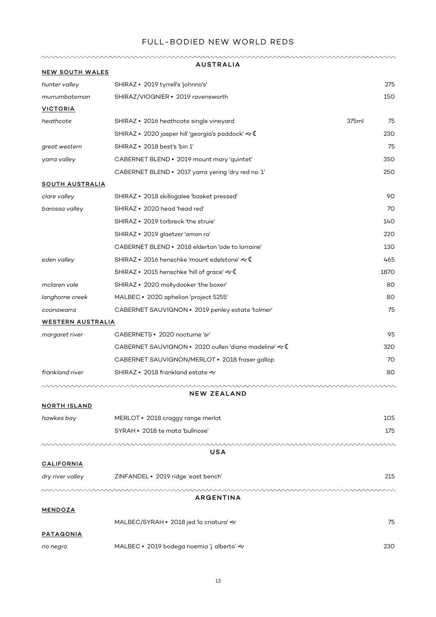#### FULL-BODIED NEW WORLD REDS

| <b>NEW SOUTH WALES</b>   | AUSTRALIA                                             |       |      |
|--------------------------|-------------------------------------------------------|-------|------|
| hunter valley            | SHIRAZ • 2019 tyrrell's 'johnno's'                    |       | 275  |
| murrumbateman            | SHIRAZ/VIOGNIER · 2019 ravensworth                    |       | 150  |
| <b>VICTORIA</b>          |                                                       |       |      |
| heathcote                | SHIRAZ • 2016 heathcote single vineyard               | 375ml | 75   |
|                          | SHIRAZ • 2020 jasper hill 'georgia's paddock' < €     |       | 230  |
| great western            | SHIRAZ • 2018 best's 'bin 1'                          |       | 75   |
| yarra valley             | CABERNET BLEND • 2019 mount mary 'quintet'            |       | 350  |
|                          | CABERNET BLEND • 2017 yarra yering 'dry red no. 1'    |       | 250  |
| <b>SOUTH AUSTRALIA</b>   |                                                       |       |      |
| clare valley             | SHIRAZ · 2018 skillogalee 'basket pressed'            |       | 90   |
| barossa valley           | SHIRAZ • 2020 head 'head red'                         |       | 70   |
|                          | SHIRAZ • 2019 torbreck 'the struie'                   |       | 140  |
|                          | SHIRAZ • 2019 glaetzer 'amon ra'                      |       | 220  |
|                          | CABERNET BLEND • 2018 elderton 'ode to lorraine'      |       | 130  |
| eden valley              | SHIRAZ • 2016 henschke 'mount edelstone' & C          |       | 465  |
|                          | SHIRAZ • 2015 henschke 'hill of grace' $\ll$ (        |       | 1870 |
| mclaren vale             | SHIRAZ . 2020 mollydooker 'the boxer'                 |       | 80   |
| langhorne creek          | MALBEC • 2020 aphelion 'project 5255'                 |       | 80   |
| coonawarra               | CABERNET SAUVIGNON • 2019 penley estate 'tolmer'      |       | 75   |
| <b>WESTERN AUSTRALIA</b> |                                                       |       |      |
| margaret river           | CABERNETS • 2020 nocturne 'sr'                        |       | 95   |
|                          | CABERNET SAUVIGNON • 2020 cullen 'diana madeline' & C |       | 320  |
|                          | CABERNET SAUVIGNON/MERLOT • 2018 fraser gallop        |       | 70   |
| frankland river          | SHIRAZ • 2018 frankland estate <                      |       | 80   |
|                          | NEW ZEALAND                                           |       |      |
| <b>NORTH ISLAND</b>      |                                                       |       |      |
| hawkes bay               | MERLOT • 2018 craggy range merlot                     |       | 105  |
|                          | SYRAH • 2018 te mata 'bullnose'                       |       | 175  |
|                          | USA                                                   |       |      |
| <b>CALIFORNIA</b>        |                                                       |       |      |
| dry river valley         | ZINFANDEL · 2019 ridge 'east bench'                   |       | 215  |
|                          | <b>ARGENTINA</b>                                      |       |      |
| <b>MENDOZA</b>           |                                                       |       |      |
|                          | MALBEC/SYRAH • 2018 jed 'la criatura' <               |       | 75   |
| <b>PATAGONIA</b>         |                                                       |       |      |
| rio negro                | MALBEC • 2019 bodega noemia 'j. alberto' &            |       | 230  |